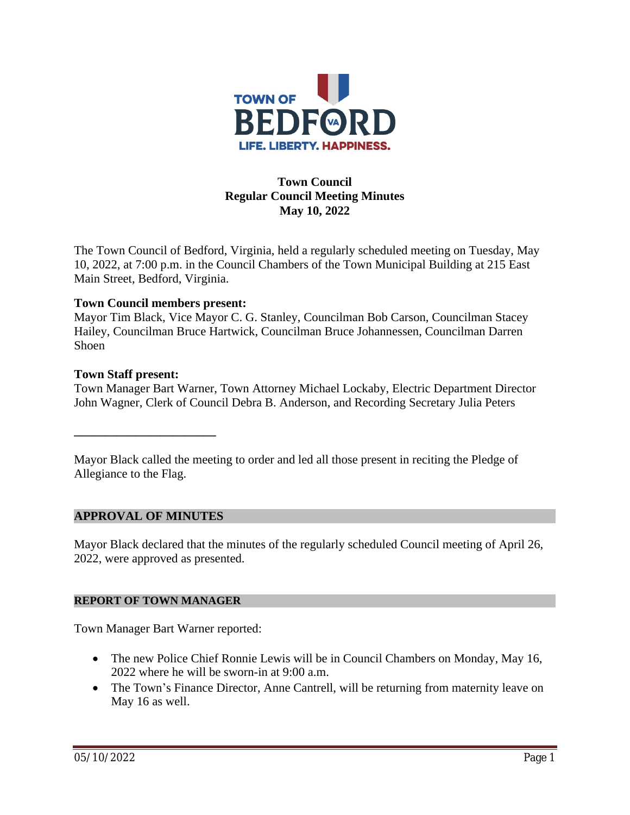

# **Town Council Regular Council Meeting Minutes May 10, 2022**

The Town Council of Bedford, Virginia, held a regularly scheduled meeting on Tuesday, May 10, 2022, at 7:00 p.m. in the Council Chambers of the Town Municipal Building at 215 East Main Street, Bedford, Virginia.

## **Town Council members present:**

Mayor Tim Black, Vice Mayor C. G. Stanley, Councilman Bob Carson, Councilman Stacey Hailey, Councilman Bruce Hartwick, Councilman Bruce Johannessen, Councilman Darren Shoen

#### **Town Staff present:**

Town Manager Bart Warner, Town Attorney Michael Lockaby, Electric Department Director John Wagner, Clerk of Council Debra B. Anderson, and Recording Secretary Julia Peters

Mayor Black called the meeting to order and led all those present in reciting the Pledge of Allegiance to the Flag.

#### **APPROVAL OF MINUTES**

**\_\_\_\_\_\_\_\_\_\_\_\_\_\_\_\_\_\_\_\_\_\_\_**

Mayor Black declared that the minutes of the regularly scheduled Council meeting of April 26, 2022, were approved as presented.

#### **REPORT OF TOWN MANAGER**

Town Manager Bart Warner reported:

- The new Police Chief Ronnie Lewis will be in Council Chambers on Monday, May 16, 2022 where he will be sworn-in at 9:00 a.m.
- The Town's Finance Director, Anne Cantrell, will be returning from maternity leave on May 16 as well.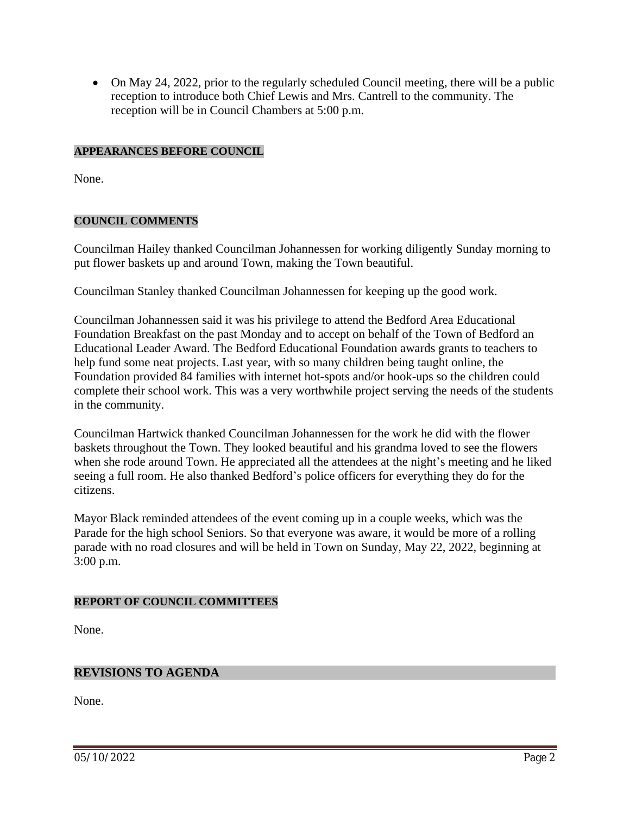• On May 24, 2022, prior to the regularly scheduled Council meeting, there will be a public reception to introduce both Chief Lewis and Mrs. Cantrell to the community. The reception will be in Council Chambers at 5:00 p.m.

## **APPEARANCES BEFORE COUNCIL**

None.

## **COUNCIL COMMENTS**

Councilman Hailey thanked Councilman Johannessen for working diligently Sunday morning to put flower baskets up and around Town, making the Town beautiful.

Councilman Stanley thanked Councilman Johannessen for keeping up the good work.

Councilman Johannessen said it was his privilege to attend the Bedford Area Educational Foundation Breakfast on the past Monday and to accept on behalf of the Town of Bedford an Educational Leader Award. The Bedford Educational Foundation awards grants to teachers to help fund some neat projects. Last year, with so many children being taught online, the Foundation provided 84 families with internet hot-spots and/or hook-ups so the children could complete their school work. This was a very worthwhile project serving the needs of the students in the community.

Councilman Hartwick thanked Councilman Johannessen for the work he did with the flower baskets throughout the Town. They looked beautiful and his grandma loved to see the flowers when she rode around Town. He appreciated all the attendees at the night's meeting and he liked seeing a full room. He also thanked Bedford's police officers for everything they do for the citizens.

Mayor Black reminded attendees of the event coming up in a couple weeks, which was the Parade for the high school Seniors. So that everyone was aware, it would be more of a rolling parade with no road closures and will be held in Town on Sunday, May 22, 2022, beginning at 3:00 p.m.

#### **REPORT OF COUNCIL COMMITTEES**

None.

# **REVISIONS TO AGENDA**

None.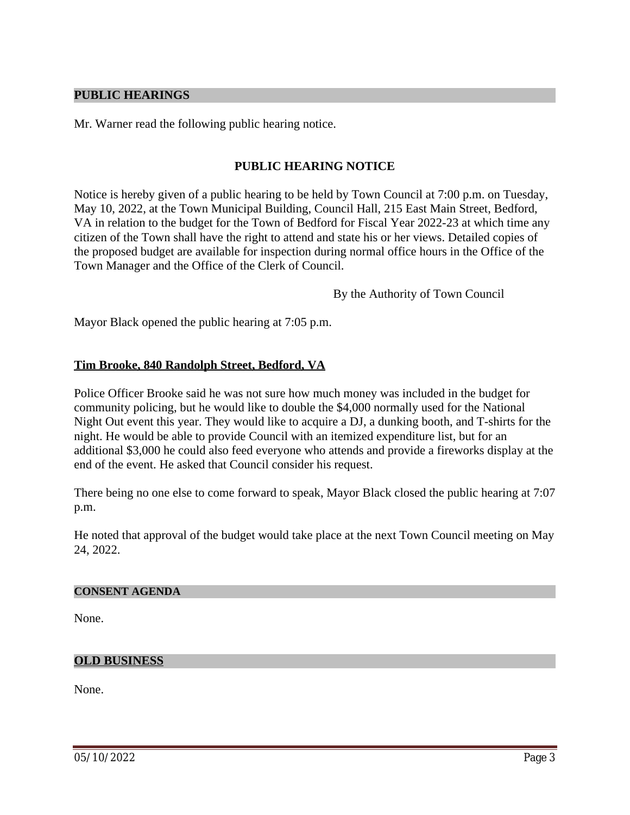#### **PUBLIC HEARINGS**

Mr. Warner read the following public hearing notice.

## **PUBLIC HEARING NOTICE**

Notice is hereby given of a public hearing to be held by Town Council at 7:00 p.m. on Tuesday, May 10, 2022, at the Town Municipal Building, Council Hall, 215 East Main Street, Bedford, VA in relation to the budget for the Town of Bedford for Fiscal Year 2022-23 at which time any citizen of the Town shall have the right to attend and state his or her views. Detailed copies of the proposed budget are available for inspection during normal office hours in the Office of the Town Manager and the Office of the Clerk of Council.

By the Authority of Town Council

Mayor Black opened the public hearing at 7:05 p.m.

## **Tim Brooke, 840 Randolph Street, Bedford, VA**

Police Officer Brooke said he was not sure how much money was included in the budget for community policing, but he would like to double the \$4,000 normally used for the National Night Out event this year. They would like to acquire a DJ, a dunking booth, and T-shirts for the night. He would be able to provide Council with an itemized expenditure list, but for an additional \$3,000 he could also feed everyone who attends and provide a fireworks display at the end of the event. He asked that Council consider his request.

There being no one else to come forward to speak, Mayor Black closed the public hearing at 7:07 p.m.

He noted that approval of the budget would take place at the next Town Council meeting on May 24, 2022.

#### **CONSENT AGENDA**

None.

#### **OLD BUSINESS**

None.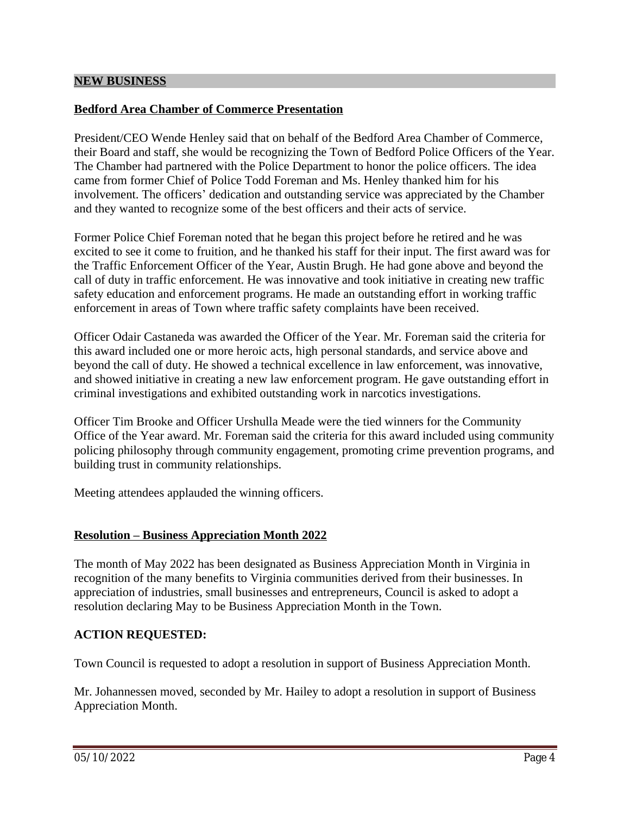# **Bedford Area Chamber of Commerce Presentation**

President/CEO Wende Henley said that on behalf of the Bedford Area Chamber of Commerce, their Board and staff, she would be recognizing the Town of Bedford Police Officers of the Year. The Chamber had partnered with the Police Department to honor the police officers. The idea came from former Chief of Police Todd Foreman and Ms. Henley thanked him for his involvement. The officers' dedication and outstanding service was appreciated by the Chamber and they wanted to recognize some of the best officers and their acts of service.

Former Police Chief Foreman noted that he began this project before he retired and he was excited to see it come to fruition, and he thanked his staff for their input. The first award was for the Traffic Enforcement Officer of the Year, Austin Brugh. He had gone above and beyond the call of duty in traffic enforcement. He was innovative and took initiative in creating new traffic safety education and enforcement programs. He made an outstanding effort in working traffic enforcement in areas of Town where traffic safety complaints have been received.

Officer Odair Castaneda was awarded the Officer of the Year. Mr. Foreman said the criteria for this award included one or more heroic acts, high personal standards, and service above and beyond the call of duty. He showed a technical excellence in law enforcement, was innovative, and showed initiative in creating a new law enforcement program. He gave outstanding effort in criminal investigations and exhibited outstanding work in narcotics investigations.

Officer Tim Brooke and Officer Urshulla Meade were the tied winners for the Community Office of the Year award. Mr. Foreman said the criteria for this award included using community policing philosophy through community engagement, promoting crime prevention programs, and building trust in community relationships.

Meeting attendees applauded the winning officers.

# **Resolution – Business Appreciation Month 2022**

The month of May 2022 has been designated as Business Appreciation Month in Virginia in recognition of the many benefits to Virginia communities derived from their businesses. In appreciation of industries, small businesses and entrepreneurs, Council is asked to adopt a resolution declaring May to be Business Appreciation Month in the Town.

# **ACTION REQUESTED:**

Town Council is requested to adopt a resolution in support of Business Appreciation Month.

Mr. Johannessen moved, seconded by Mr. Hailey to adopt a resolution in support of Business Appreciation Month.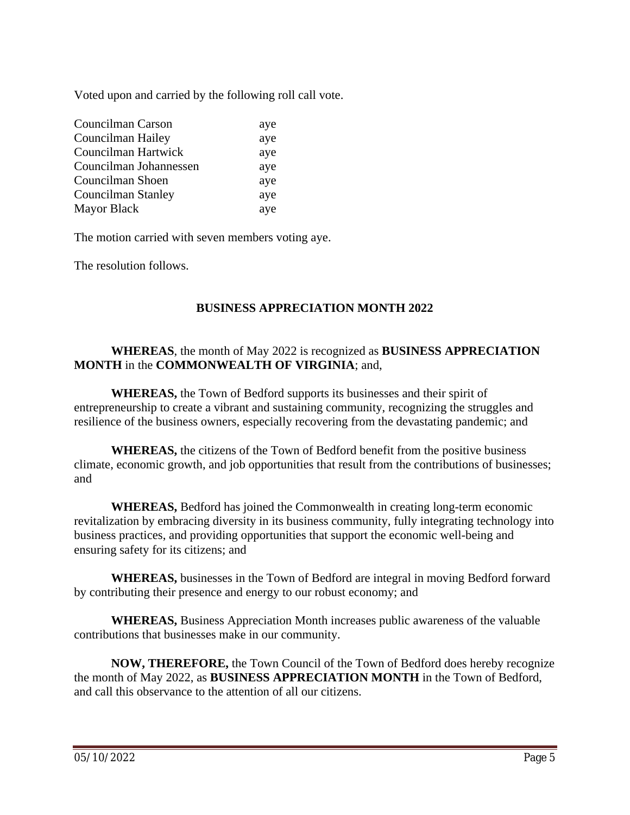Voted upon and carried by the following roll call vote.

| Councilman Carson      | aye |
|------------------------|-----|
| Councilman Hailey      | aye |
| Councilman Hartwick    | aye |
| Councilman Johannessen | aye |
| Councilman Shoen       | aye |
| Councilman Stanley     | aye |
| <b>Mayor Black</b>     | aye |

The motion carried with seven members voting aye.

The resolution follows.

# **BUSINESS APPRECIATION MONTH 2022**

# **WHEREAS**, the month of May 2022 is recognized as **BUSINESS APPRECIATION MONTH** in the **COMMONWEALTH OF VIRGINIA**; and,

 **WHEREAS,** the Town of Bedford supports its businesses and their spirit of entrepreneurship to create a vibrant and sustaining community, recognizing the struggles and resilience of the business owners, especially recovering from the devastating pandemic; and

 **WHEREAS,** the citizens of the Town of Bedford benefit from the positive business climate, economic growth, and job opportunities that result from the contributions of businesses; and

 **WHEREAS,** Bedford has joined the Commonwealth in creating long-term economic revitalization by embracing diversity in its business community, fully integrating technology into business practices, and providing opportunities that support the economic well-being and ensuring safety for its citizens; and

 **WHEREAS,** businesses in the Town of Bedford are integral in moving Bedford forward by contributing their presence and energy to our robust economy; and

 **WHEREAS,** Business Appreciation Month increases public awareness of the valuable contributions that businesses make in our community.

 **NOW, THEREFORE,** the Town Council of the Town of Bedford does hereby recognize the month of May 2022, as **BUSINESS APPRECIATION MONTH** in the Town of Bedford, and call this observance to the attention of all our citizens.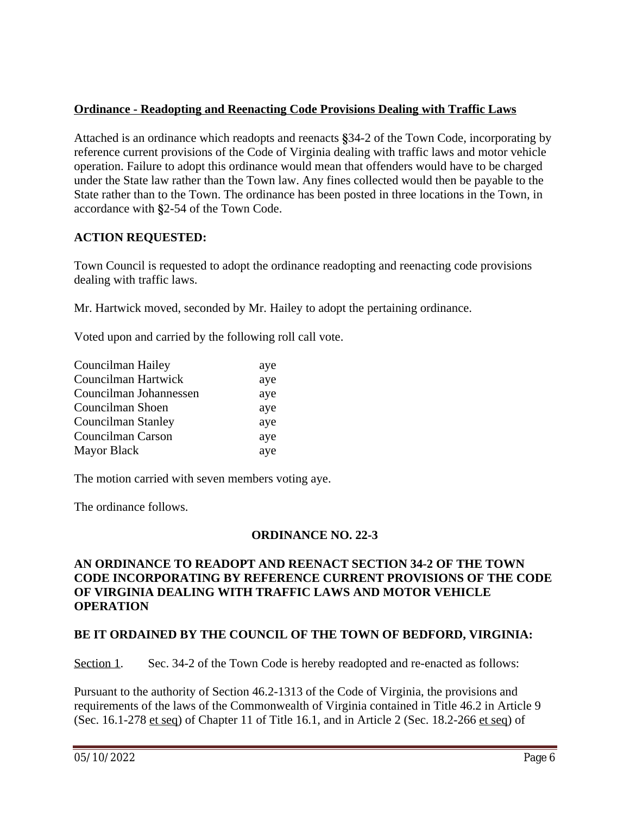# **Ordinance - Readopting and Reenacting Code Provisions Dealing with Traffic Laws**

Attached is an ordinance which readopts and reenacts **§**34-2 of the Town Code, incorporating by reference current provisions of the Code of Virginia dealing with traffic laws and motor vehicle operation. Failure to adopt this ordinance would mean that offenders would have to be charged under the State law rather than the Town law. Any fines collected would then be payable to the State rather than to the Town. The ordinance has been posted in three locations in the Town, in accordance with **§**2-54 of the Town Code.

# **ACTION REQUESTED:**

Town Council is requested to adopt the ordinance readopting and reenacting code provisions dealing with traffic laws.

Mr. Hartwick moved, seconded by Mr. Hailey to adopt the pertaining ordinance.

Voted upon and carried by the following roll call vote.

| aye |
|-----|
| aye |
| aye |
| aye |
| aye |
| aye |
| aye |
|     |

The motion carried with seven members voting aye.

The ordinance follows.

# **ORDINANCE NO. 22-3**

# **AN ORDINANCE TO READOPT AND REENACT SECTION 34-2 OF THE TOWN CODE INCORPORATING BY REFERENCE CURRENT PROVISIONS OF THE CODE OF VIRGINIA DEALING WITH TRAFFIC LAWS AND MOTOR VEHICLE OPERATION**

#### **BE IT ORDAINED BY THE COUNCIL OF THE TOWN OF BEDFORD, VIRGINIA:**

Section 1. Sec. 34-2 of the Town Code is hereby readopted and re-enacted as follows:

Pursuant to the authority of Section 46.2-1313 of the Code of Virginia, the provisions and requirements of the laws of the Commonwealth of Virginia contained in Title 46.2 in Article 9 (Sec. 16.1-278 et seq) of Chapter 11 of Title 16.1, and in Article 2 (Sec. 18.2-266 et seq) of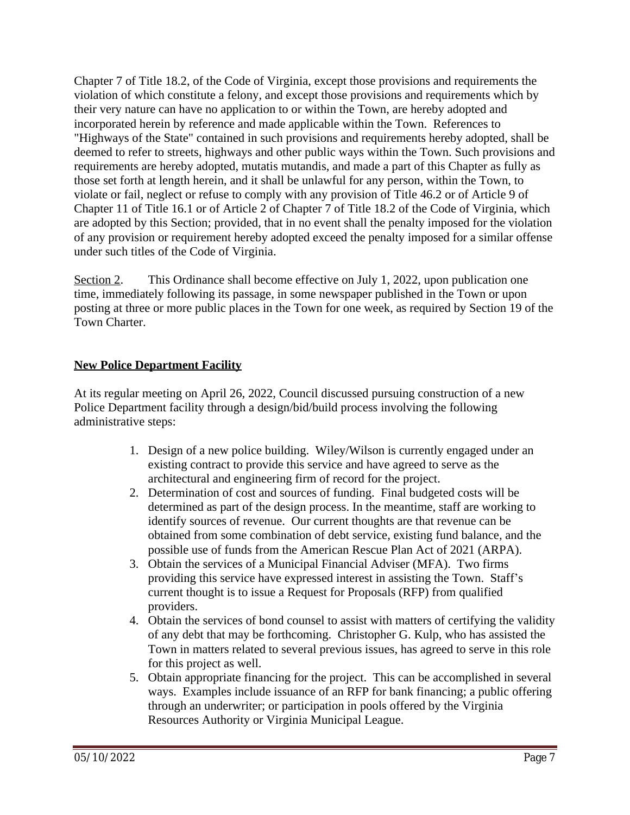Chapter 7 of Title 18.2, of the Code of Virginia, except those provisions and requirements the violation of which constitute a felony, and except those provisions and requirements which by their very nature can have no application to or within the Town, are hereby adopted and incorporated herein by reference and made applicable within the Town. References to "Highways of the State" contained in such provisions and requirements hereby adopted, shall be deemed to refer to streets, highways and other public ways within the Town. Such provisions and requirements are hereby adopted, mutatis mutandis, and made a part of this Chapter as fully as those set forth at length herein, and it shall be unlawful for any person, within the Town, to violate or fail, neglect or refuse to comply with any provision of Title 46.2 or of Article 9 of Chapter 11 of Title 16.1 or of Article 2 of Chapter 7 of Title 18.2 of the Code of Virginia, which are adopted by this Section; provided, that in no event shall the penalty imposed for the violation of any provision or requirement hereby adopted exceed the penalty imposed for a similar offense under such titles of the Code of Virginia.

Section 2. This Ordinance shall become effective on July 1, 2022, upon publication one time, immediately following its passage, in some newspaper published in the Town or upon posting at three or more public places in the Town for one week, as required by Section 19 of the Town Charter.

# **New Police Department Facility**

At its regular meeting on April 26, 2022, Council discussed pursuing construction of a new Police Department facility through a design/bid/build process involving the following administrative steps:

- 1. Design of a new police building. Wiley/Wilson is currently engaged under an existing contract to provide this service and have agreed to serve as the architectural and engineering firm of record for the project.
- 2. Determination of cost and sources of funding. Final budgeted costs will be determined as part of the design process. In the meantime, staff are working to identify sources of revenue. Our current thoughts are that revenue can be obtained from some combination of debt service, existing fund balance, and the possible use of funds from the American Rescue Plan Act of 2021 (ARPA).
- 3. Obtain the services of a Municipal Financial Adviser (MFA). Two firms providing this service have expressed interest in assisting the Town. Staff's current thought is to issue a Request for Proposals (RFP) from qualified providers.
- 4. Obtain the services of bond counsel to assist with matters of certifying the validity of any debt that may be forthcoming. Christopher G. Kulp, who has assisted the Town in matters related to several previous issues, has agreed to serve in this role for this project as well.
- 5. Obtain appropriate financing for the project. This can be accomplished in several ways. Examples include issuance of an RFP for bank financing; a public offering through an underwriter; or participation in pools offered by the Virginia Resources Authority or Virginia Municipal League.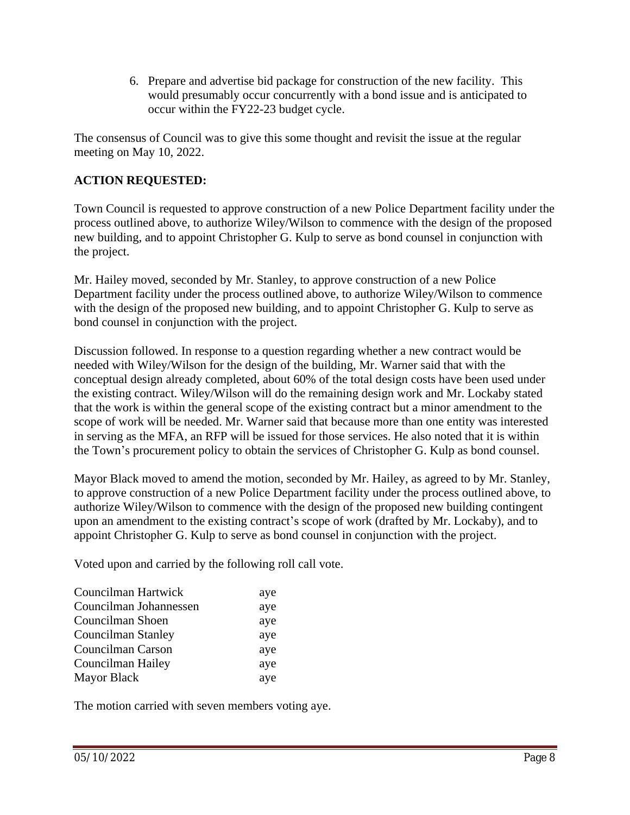6. Prepare and advertise bid package for construction of the new facility. This would presumably occur concurrently with a bond issue and is anticipated to occur within the FY22-23 budget cycle.

The consensus of Council was to give this some thought and revisit the issue at the regular meeting on May 10, 2022.

# **ACTION REQUESTED:**

Town Council is requested to approve construction of a new Police Department facility under the process outlined above, to authorize Wiley/Wilson to commence with the design of the proposed new building, and to appoint Christopher G. Kulp to serve as bond counsel in conjunction with the project.

Mr. Hailey moved, seconded by Mr. Stanley, to approve construction of a new Police Department facility under the process outlined above, to authorize Wiley/Wilson to commence with the design of the proposed new building, and to appoint Christopher G. Kulp to serve as bond counsel in conjunction with the project.

Discussion followed. In response to a question regarding whether a new contract would be needed with Wiley/Wilson for the design of the building, Mr. Warner said that with the conceptual design already completed, about 60% of the total design costs have been used under the existing contract. Wiley/Wilson will do the remaining design work and Mr. Lockaby stated that the work is within the general scope of the existing contract but a minor amendment to the scope of work will be needed. Mr. Warner said that because more than one entity was interested in serving as the MFA, an RFP will be issued for those services. He also noted that it is within the Town's procurement policy to obtain the services of Christopher G. Kulp as bond counsel.

Mayor Black moved to amend the motion, seconded by Mr. Hailey, as agreed to by Mr. Stanley, to approve construction of a new Police Department facility under the process outlined above, to authorize Wiley/Wilson to commence with the design of the proposed new building contingent upon an amendment to the existing contract's scope of work (drafted by Mr. Lockaby), and to appoint Christopher G. Kulp to serve as bond counsel in conjunction with the project.

Voted upon and carried by the following roll call vote.

| Councilman Hartwick       | aye |
|---------------------------|-----|
| Councilman Johannessen    | aye |
| Councilman Shoen          | aye |
| <b>Councilman Stanley</b> | aye |
| Councilman Carson         | aye |
| Councilman Hailey         | aye |
| <b>Mayor Black</b>        | aye |

The motion carried with seven members voting aye.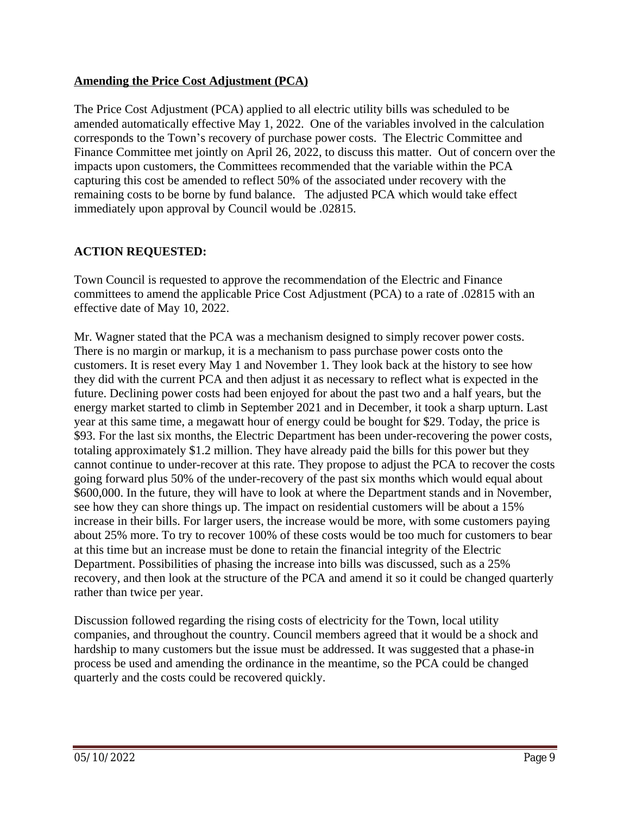# **Amending the Price Cost Adjustment (PCA)**

The Price Cost Adjustment (PCA) applied to all electric utility bills was scheduled to be amended automatically effective May 1, 2022. One of the variables involved in the calculation corresponds to the Town's recovery of purchase power costs. The Electric Committee and Finance Committee met jointly on April 26, 2022, to discuss this matter. Out of concern over the impacts upon customers, the Committees recommended that the variable within the PCA capturing this cost be amended to reflect 50% of the associated under recovery with the remaining costs to be borne by fund balance. The adjusted PCA which would take effect immediately upon approval by Council would be .02815.

# **ACTION REQUESTED:**

Town Council is requested to approve the recommendation of the Electric and Finance committees to amend the applicable Price Cost Adjustment (PCA) to a rate of .02815 with an effective date of May 10, 2022.

Mr. Wagner stated that the PCA was a mechanism designed to simply recover power costs. There is no margin or markup, it is a mechanism to pass purchase power costs onto the customers. It is reset every May 1 and November 1. They look back at the history to see how they did with the current PCA and then adjust it as necessary to reflect what is expected in the future. Declining power costs had been enjoyed for about the past two and a half years, but the energy market started to climb in September 2021 and in December, it took a sharp upturn. Last year at this same time, a megawatt hour of energy could be bought for \$29. Today, the price is \$93. For the last six months, the Electric Department has been under-recovering the power costs, totaling approximately \$1.2 million. They have already paid the bills for this power but they cannot continue to under-recover at this rate. They propose to adjust the PCA to recover the costs going forward plus 50% of the under-recovery of the past six months which would equal about \$600,000. In the future, they will have to look at where the Department stands and in November, see how they can shore things up. The impact on residential customers will be about a 15% increase in their bills. For larger users, the increase would be more, with some customers paying about 25% more. To try to recover 100% of these costs would be too much for customers to bear at this time but an increase must be done to retain the financial integrity of the Electric Department. Possibilities of phasing the increase into bills was discussed, such as a 25% recovery, and then look at the structure of the PCA and amend it so it could be changed quarterly rather than twice per year.

Discussion followed regarding the rising costs of electricity for the Town, local utility companies, and throughout the country. Council members agreed that it would be a shock and hardship to many customers but the issue must be addressed. It was suggested that a phase-in process be used and amending the ordinance in the meantime, so the PCA could be changed quarterly and the costs could be recovered quickly.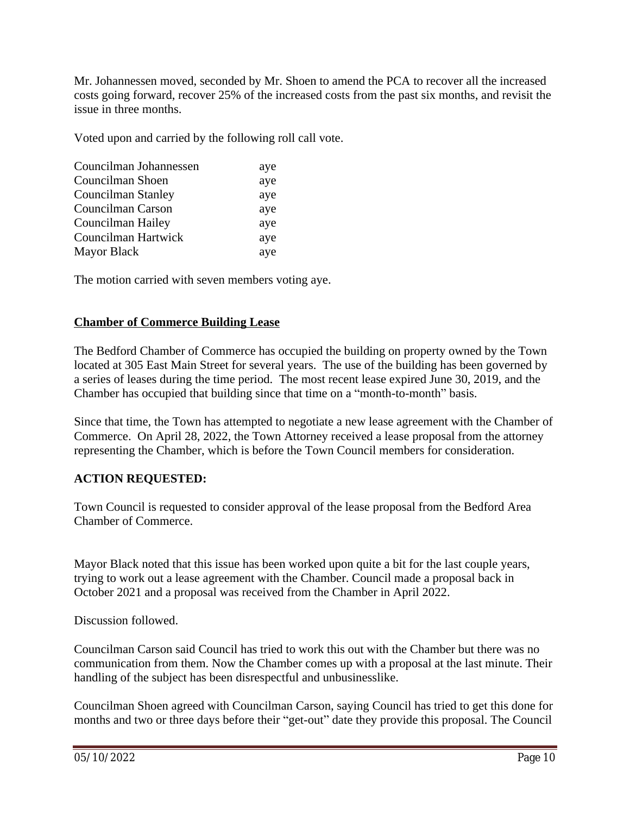Mr. Johannessen moved, seconded by Mr. Shoen to amend the PCA to recover all the increased costs going forward, recover 25% of the increased costs from the past six months, and revisit the issue in three months.

Voted upon and carried by the following roll call vote.

| Councilman Johannessen    | aye |
|---------------------------|-----|
| Councilman Shoen          | aye |
| <b>Councilman Stanley</b> | aye |
| Councilman Carson         | aye |
| Councilman Hailey         | aye |
| Councilman Hartwick       | aye |
| <b>Mayor Black</b>        | aye |

The motion carried with seven members voting aye.

# **Chamber of Commerce Building Lease**

The Bedford Chamber of Commerce has occupied the building on property owned by the Town located at 305 East Main Street for several years. The use of the building has been governed by a series of leases during the time period. The most recent lease expired June 30, 2019, and the Chamber has occupied that building since that time on a "month-to-month" basis.

Since that time, the Town has attempted to negotiate a new lease agreement with the Chamber of Commerce. On April 28, 2022, the Town Attorney received a lease proposal from the attorney representing the Chamber, which is before the Town Council members for consideration.

# **ACTION REQUESTED:**

Town Council is requested to consider approval of the lease proposal from the Bedford Area Chamber of Commerce.

Mayor Black noted that this issue has been worked upon quite a bit for the last couple years, trying to work out a lease agreement with the Chamber. Council made a proposal back in October 2021 and a proposal was received from the Chamber in April 2022.

Discussion followed.

Councilman Carson said Council has tried to work this out with the Chamber but there was no communication from them. Now the Chamber comes up with a proposal at the last minute. Their handling of the subject has been disrespectful and unbusinesslike.

Councilman Shoen agreed with Councilman Carson, saying Council has tried to get this done for months and two or three days before their "get-out" date they provide this proposal. The Council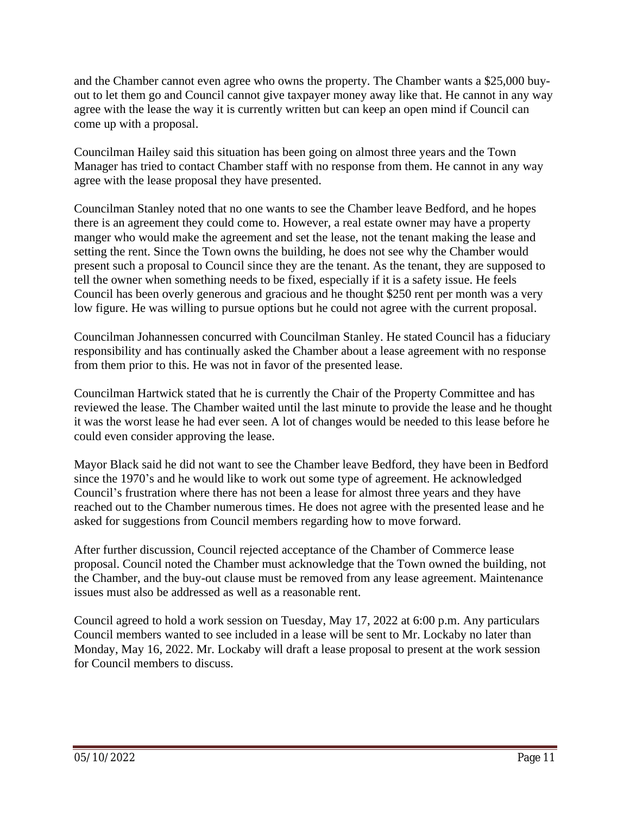and the Chamber cannot even agree who owns the property. The Chamber wants a \$25,000 buyout to let them go and Council cannot give taxpayer money away like that. He cannot in any way agree with the lease the way it is currently written but can keep an open mind if Council can come up with a proposal.

Councilman Hailey said this situation has been going on almost three years and the Town Manager has tried to contact Chamber staff with no response from them. He cannot in any way agree with the lease proposal they have presented.

Councilman Stanley noted that no one wants to see the Chamber leave Bedford, and he hopes there is an agreement they could come to. However, a real estate owner may have a property manger who would make the agreement and set the lease, not the tenant making the lease and setting the rent. Since the Town owns the building, he does not see why the Chamber would present such a proposal to Council since they are the tenant. As the tenant, they are supposed to tell the owner when something needs to be fixed, especially if it is a safety issue. He feels Council has been overly generous and gracious and he thought \$250 rent per month was a very low figure. He was willing to pursue options but he could not agree with the current proposal.

Councilman Johannessen concurred with Councilman Stanley. He stated Council has a fiduciary responsibility and has continually asked the Chamber about a lease agreement with no response from them prior to this. He was not in favor of the presented lease.

Councilman Hartwick stated that he is currently the Chair of the Property Committee and has reviewed the lease. The Chamber waited until the last minute to provide the lease and he thought it was the worst lease he had ever seen. A lot of changes would be needed to this lease before he could even consider approving the lease.

Mayor Black said he did not want to see the Chamber leave Bedford, they have been in Bedford since the 1970's and he would like to work out some type of agreement. He acknowledged Council's frustration where there has not been a lease for almost three years and they have reached out to the Chamber numerous times. He does not agree with the presented lease and he asked for suggestions from Council members regarding how to move forward.

After further discussion, Council rejected acceptance of the Chamber of Commerce lease proposal. Council noted the Chamber must acknowledge that the Town owned the building, not the Chamber, and the buy-out clause must be removed from any lease agreement. Maintenance issues must also be addressed as well as a reasonable rent.

Council agreed to hold a work session on Tuesday, May 17, 2022 at 6:00 p.m. Any particulars Council members wanted to see included in a lease will be sent to Mr. Lockaby no later than Monday, May 16, 2022. Mr. Lockaby will draft a lease proposal to present at the work session for Council members to discuss.